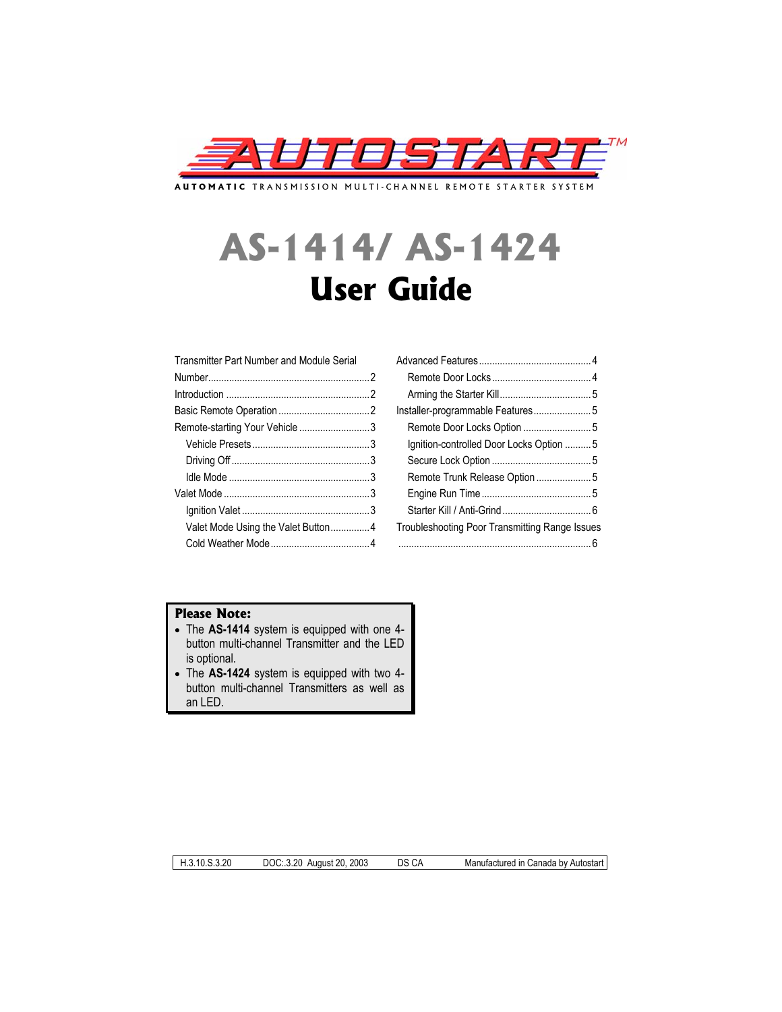

**AUTOMATIC** TRANSMISSION MULTI-CHANNEL REMOTE STARTER SYSTEM

# **AS-1414/ AS-1424 User Guide**

| Remote-starting Your Vehicle 3     |                                                |
|------------------------------------|------------------------------------------------|
|                                    | Ignition-controlled Door Locks Option 5        |
|                                    |                                                |
|                                    | Remote Trunk Release Option5                   |
|                                    |                                                |
|                                    |                                                |
| Valet Mode Using the Valet Button4 | Troubleshooting Poor Transmitting Range Issues |
|                                    |                                                |
|                                    |                                                |

## **Please Note:**

- The AS-1414 system is equipped with one 4button multi-channel Transmitter and the LED is optional.
- x The **AS-1424** system is equipped with two 4 button multi-channel Transmitters as well as an LED.

H.3.10.S.3.20 DOC:.3.20 August 20, 2003 DS CA Manufactured in Canada by Autostart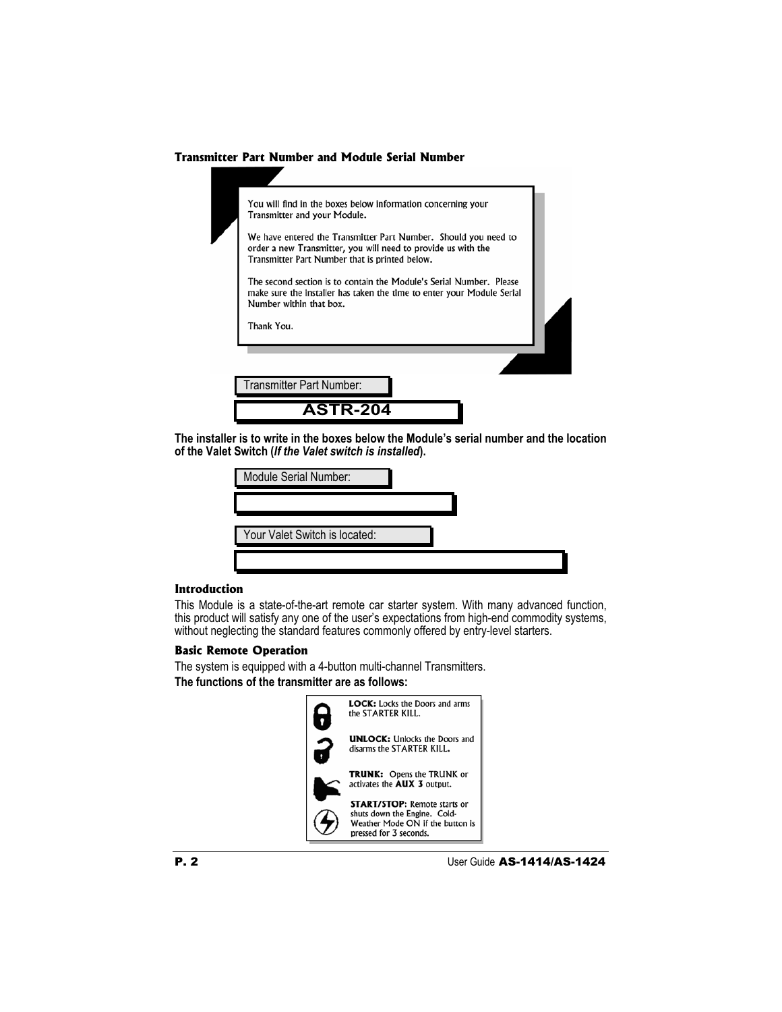#### **Transmitter Part Number and Module Serial Number**

| You will find in the boxes below information concerning your<br>Transmitter and your Module.                                                                                       |  |
|------------------------------------------------------------------------------------------------------------------------------------------------------------------------------------|--|
| We have entered the Transmitter Part Number. Should you need to<br>order a new Transmitter, you will need to provide us with the<br>Transmitter Part Number that is printed below. |  |
| The second section is to contain the Module's Serial Number. Please<br>make sure the installer has taken the time to enter your Module Serial<br>Number within that box.           |  |
| Thank You.                                                                                                                                                                         |  |
|                                                                                                                                                                                    |  |
|                                                                                                                                                                                    |  |
| Transmitter Part Number:                                                                                                                                                           |  |
| <b>ASTR-204</b>                                                                                                                                                                    |  |
|                                                                                                                                                                                    |  |

**The installer is to write in the boxes below the Module's serial number and the location of the Valet Switch (***If the Valet switch is installed***).**

| Module Serial Number:         |  |
|-------------------------------|--|
|                               |  |
| Your Valet Switch is located: |  |
|                               |  |

## **Introduction**

This Module is a state-of-the-art remote car starter system. With many advanced function, this product will satisfy any one of the user's expectations from high-end commodity systems, without neglecting the standard features commonly offered by entry-level starters.

## **Basic Remote Operation**

The system is equipped with a 4-button multi-channel Transmitters. **The functions of the transmitter are as follows:**

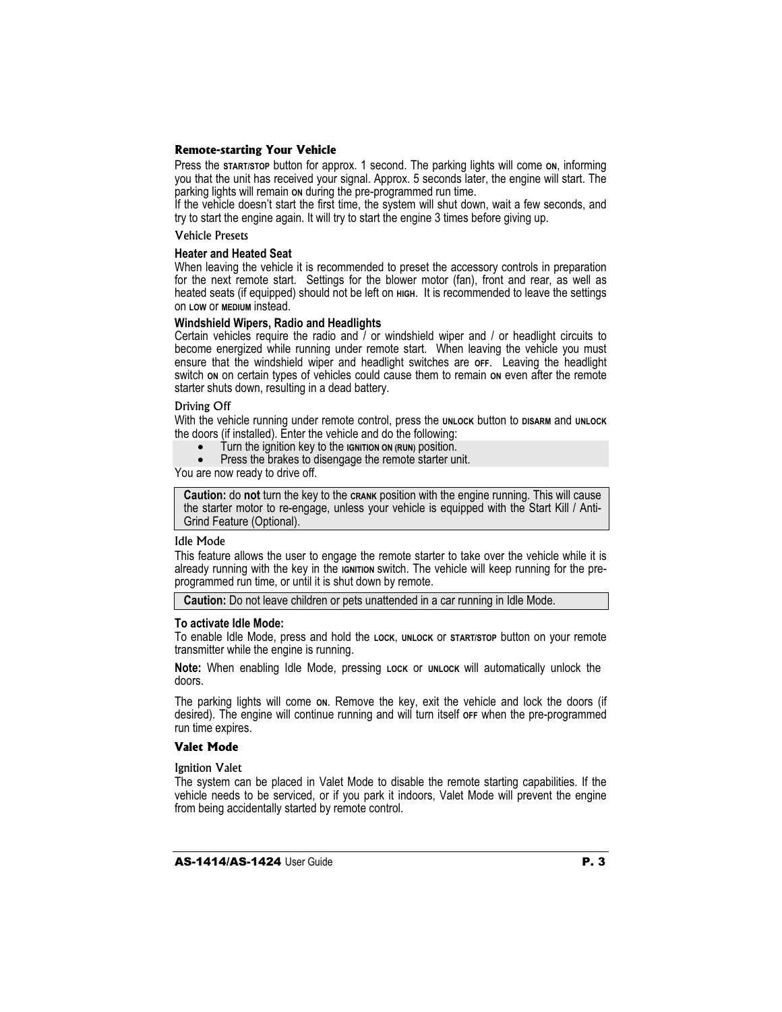#### **Remote-starting Your Vehicle**

Press the **START/STOP** button for approx. 1 second. The parking lights will come **ON**, informing you that the unit has received your signal. Approx, 5 seconds later, the engine will start. The parking lights will remain **ON** during the pre-programmed run time.

If the vehicle doesn't start the first time, the system will shut down, wait a few seconds, and try to start the engine again. It will try to start the engine 3 times before giving up.

#### Vehicle Presets

#### **Heater and Heated Seat**

When leaving the vehicle it is recommended to preset the accessory controls in preparation for the next remote start. Settings for the blower motor (fan), front and rear, as well as heated seats (if equipped) should not be left on **HIGH.** It is recommended to leave the settings on **LOW** or **MEDIUM** instead.

#### **Windshield Wipers, Radio and Headlights**

Certain vehicles require the radio and / or windshield wiper and / or headlight circuits to become energized while running under remote start. When leaving the vehicle you must ensure that the windshield wiper and headlight switches are **OFF**. Leaving the headlight switch on on certain types of vehicles could cause them to remain on even after the remote starter shuts down, resulting in a dead battery.

#### Driving Off

With the vehicle running under remote control, press the UNLOCK button to DISARM and UNLOCK the doors (if installed). Enter the vehicle and do the following:

- x Turn the ignition key to the **IGNITION ON (RUN)** position.
- Press the brakes to disengage the remote starter unit.

You are now ready to drive off.

**Caution:** do **not** turn the key to the **CRANK** position with the engine running. This will cause the starter motor to re-engage, unless your vehicle is equipped with the Start Kill / Anti-Grind Feature (Optional).

#### Idle Mode

This feature allows the user to engage the remote starter to take over the vehicle while it is already running with the key in the **IGNITION** switch. The vehicle will keep running for the preprogrammed run time, or until it is shut down by remote.

**Caution:** Do not leave children or pets unattended in a car running in Idle Mode.

#### **To activate Idle Mode:**

To enable Idle Mode, press and hold the **LOCK**, **UNLOCK** or **START/STOP** button on your remote transmitter while the engine is running.

**Note:** When enabling Idle Mode, pressing Lock or UNLOCK will automatically unlock the doors.

The parking lights will come on. Remove the key, exit the vehicle and lock the doors (if desired). The engine will continue running and will turn itself **OFF** when the pre-programmed run time expires.

## **Valet Mode**

Ignition Valet

The system can be placed in Valet Mode to disable the remote starting capabilities. If the vehicle needs to be serviced, or if you park it indoors, Valet Mode will prevent the engine from being accidentally started by remote control.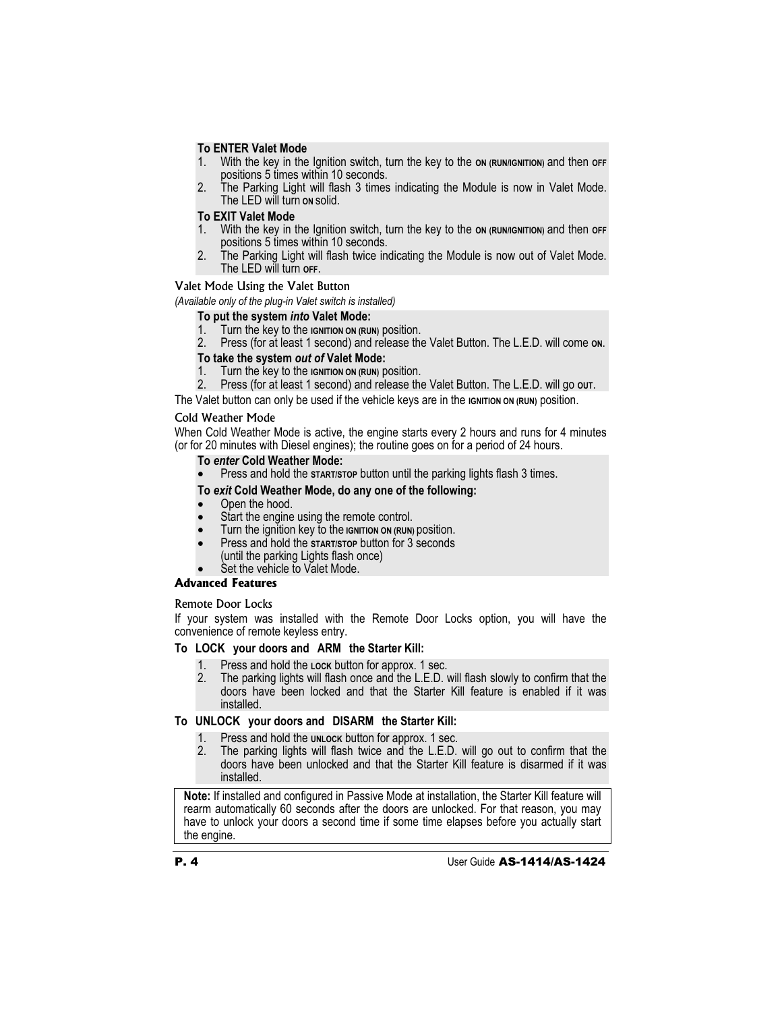## **To ENTER Valet Mode**

- 1. With the key in the Ignition switch, turn the key to the on (RUN/IGNITION) and then off positions 5 times within 10 seconds.
- 2. The Parking Light will flash 3 times indicating the Module is now in Valet Mode. The LED will turn **ON** solid.

#### **To EXIT Valet Mode**

- 1. With the key in the Ignition switch, turn the key to the **ON (RUN/IGNITION)** and then **OFF** positions 5 times within 10 seconds.
- 2. The Parking Light will flash twice indicating the Module is now out of Valet Mode. The LED will turn **OFF**.

#### Valet Mode Using the Valet Button

*(Available only of the plug-in Valet switch is installed)* 

#### **To put the system** *into* **Valet Mode:**

- 1. Turn the key to the **IGNITION ON (RUN)** position.
- 2. Press (for at least 1 second) and release the Valet Button. The L.E.D. will come **ON**.

## **To take the system** *out of* **Valet Mode:**

- 1. Turn the key to the **IGNITION ON (RUN)** position.
- 2. Press (for at least 1 second) and release the Valet Button. The L.E.D. will go **OUT**.

The Valet button can only be used if the vehicle keys are in the **IGNITION ON (RUN)** position.

## Cold Weather Mode

When Cold Weather Mode is active, the engine starts every 2 hours and runs for 4 minutes (or for 20 minutes with Diesel engines); the routine goes on for a period of 24 hours.

## **To** *enter* **Cold Weather Mode:**

Press and hold the **START/STOP** button until the parking lights flash 3 times.

## **To** *exit* **Cold Weather Mode, do any one of the following:**

- Open the hood.
- Start the engine using the remote control.
- x Turn the ignition key to the **IGNITION ON (RUN)** position.
- Press and hold the **START/STOP** button for 3 seconds
- (until the parking Lights flash once)
- Set the vehicle to Valet Mode.

## **Advanced Features**

#### Remote Door Locks

If your system was installed with the Remote Door Locks option, you will have the convenience of remote keyless entry.

#### **To LOCK your doors and ARM the Starter Kill:**

- 
- 1. Press and hold the **LOCK** button for approx. 1 sec. 2. The parking lights will flash once and the L.E.D. will flash slowly to confirm that the doors have been locked and that the Starter Kill feature is enabled if it was installed.

## **To UNLOCK your doors and DISARM the Starter Kill:**

- Press and hold the **UNLOCK** button for approx. 1 sec.
- 2. The parking lights will flash twice and the L.E.D. will go out to confirm that the doors have been unlocked and that the Starter Kill feature is disarmed if it was installed.

**Note:** If installed and configured in Passive Mode at installation, the Starter Kill feature will rearm automatically 60 seconds after the doors are unlocked. For that reason, you may have to unlock your doors a second time if some time elapses before you actually start the engine.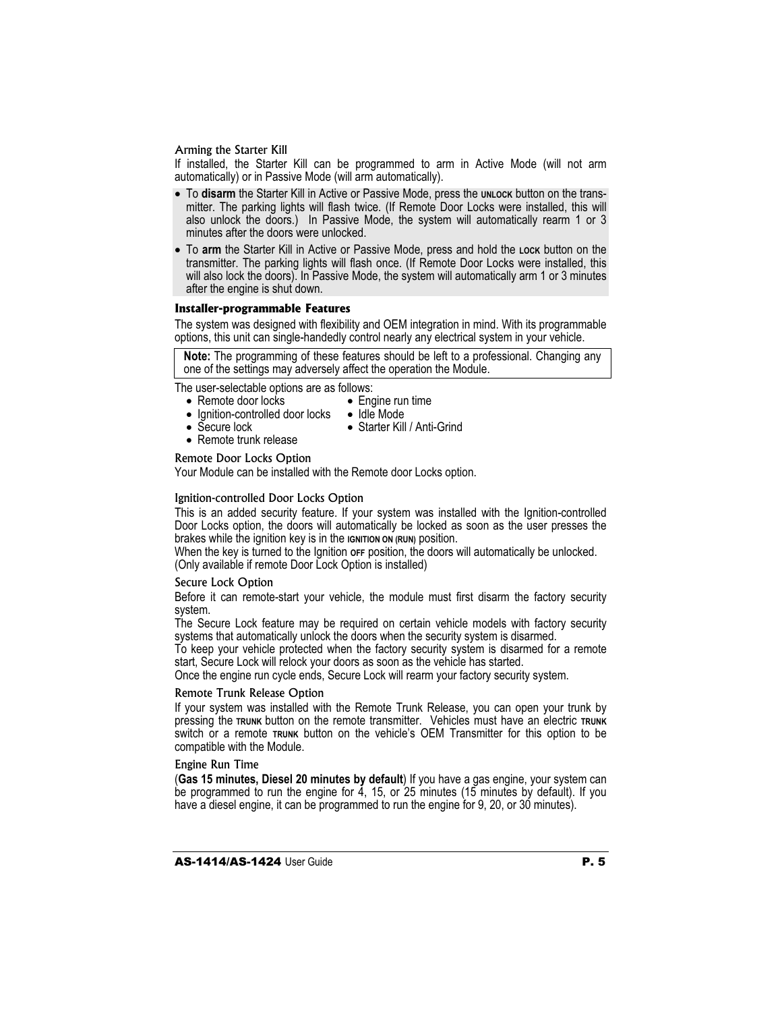#### Arming the Starter Kill

If installed, the Starter Kill can be programmed to arm in Active Mode (will not arm automatically) or in Passive Mode (will arm automatically).

- To disarm the Starter Kill in Active or Passive Mode, press the *UNLOCK* button on the transmitter. The parking lights will flash twice. (If Remote Door Locks were installed, this will also unlock the doors.) In Passive Mode, the system will automatically rearm 1 or 3 minutes after the doors were unlocked.
- x To **arm** the Starter Kill in Active or Passive Mode, press and hold the **LOCK** button on the transmitter. The parking lights will flash once. (If Remote Door Locks were installed, this will also lock the doors). In Passive Mode, the system will automatically arm 1 or 3 minutes after the engine is shut down.

#### **Installer-programmable Features**

The system was designed with flexibility and OEM integration in mind. With its programmable options, this unit can single-handedly control nearly any electrical system in your vehicle.

**Note:** The programming of these features should be left to a professional. Changing any one of the settings may adversely affect the operation the Module.

The user-selectable options are as follows:

- Remote door locks
- $\bullet$  Engine run time • Idle Mode
- Ignition-controlled door locks  $\bullet$  Secure lock • Starter Kill / Anti-Grind
- $\bullet$  Remote trunk release
- 

Remote Door Locks Option

Your Module can be installed with the Remote door Locks option.

#### Ignition-controlled Door Locks Option

This is an added security feature. If your system was installed with the Ignition-controlled Door Locks option, the doors will automatically be locked as soon as the user presses the brakes while the ignition key is in the **IGNITION ON (RUN)** position.

When the key is turned to the Ignition or Fposition, the doors will automatically be unlocked. (Only available if remote Door Lock Option is installed)

#### Secure Lock Option

Before it can remote-start your vehicle, the module must first disarm the factory security system.

The Secure Lock feature may be required on certain vehicle models with factory security systems that automatically unlock the doors when the security system is disarmed.

To keep your vehicle protected when the factory security system is disarmed for a remote start, Secure Lock will relock your doors as soon as the vehicle has started.

Once the engine run cycle ends, Secure Lock will rearm your factory security system.

#### Remote Trunk Release Option

If your system was installed with the Remote Trunk Release, you can open your trunk by pressing the **TRUNK** button on the remote transmitter. Vehicles must have an electric **TRUNK**  switch or a remote **TRUNK** button on the vehicle's OEM Transmitter for this option to be compatible with the Module.

#### Engine Run Time

(**Gas 15 minutes, Diesel 20 minutes by default**) If you have a gas engine, your system can be programmed to run the engine for 4, 15, or 25 minutes (15 minutes by default). If you have a diesel engine, it can be programmed to run the engine for 9, 20, or 30 minutes).